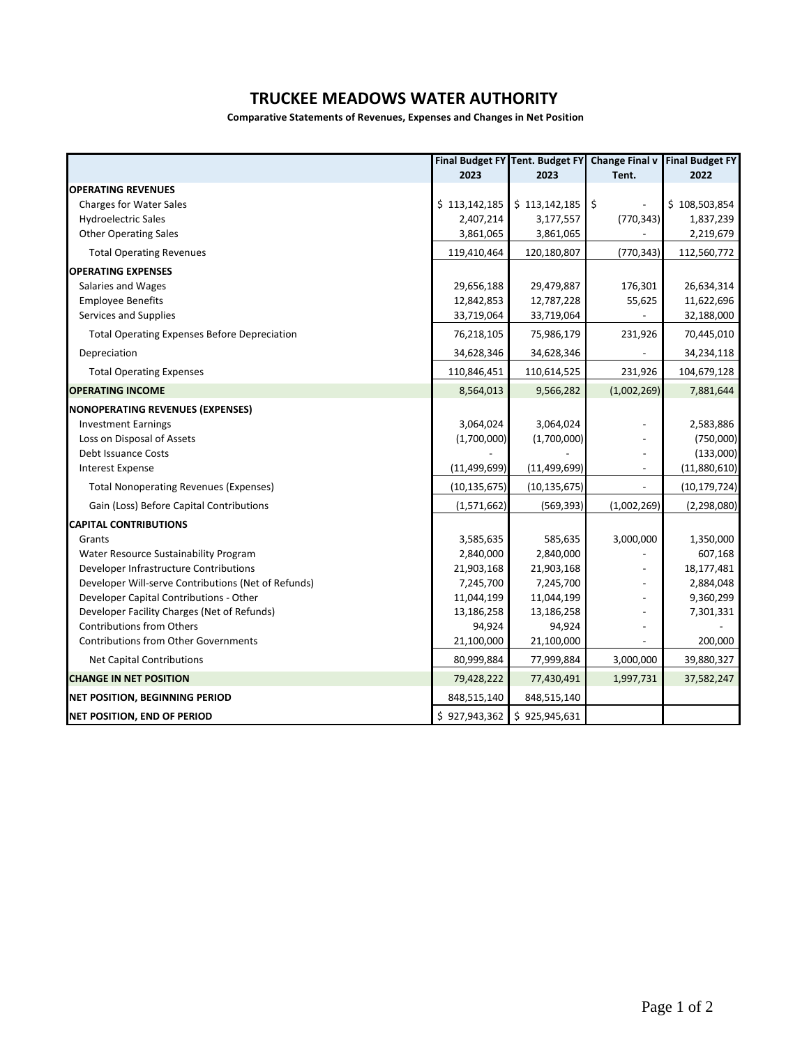## **TRUCKEE MEADOWS WATER AUTHORITY**

**Comparative Statements of Revenues, Expenses and Changes in Net Position**

|                                                     |                | Final Budget FY Tent. Budget FY | <b>Change Final v</b>    | <b>Final Budget FY</b> |  |
|-----------------------------------------------------|----------------|---------------------------------|--------------------------|------------------------|--|
|                                                     | 2023           | 2023                            | Tent.                    | 2022                   |  |
| <b>OPERATING REVENUES</b>                           |                |                                 |                          |                        |  |
| <b>Charges for Water Sales</b>                      | \$113,142,185  | \$113,142,185                   | $\zeta$                  | \$108,503,854          |  |
| <b>Hydroelectric Sales</b>                          | 2,407,214      | 3,177,557                       | (770, 343)               | 1,837,239              |  |
| <b>Other Operating Sales</b>                        | 3,861,065      | 3,861,065                       |                          | 2,219,679              |  |
| <b>Total Operating Revenues</b>                     | 119,410,464    | 120,180,807                     | (770, 343)               | 112,560,772            |  |
| <b>OPERATING EXPENSES</b>                           |                |                                 |                          |                        |  |
| Salaries and Wages                                  | 29,656,188     | 29,479,887                      | 176,301                  | 26,634,314             |  |
| <b>Employee Benefits</b>                            | 12,842,853     | 12,787,228                      | 55,625                   | 11,622,696             |  |
| Services and Supplies                               | 33,719,064     | 33,719,064                      |                          | 32,188,000             |  |
| <b>Total Operating Expenses Before Depreciation</b> | 76,218,105     | 75,986,179                      | 231,926                  | 70,445,010             |  |
| Depreciation                                        | 34,628,346     | 34,628,346                      |                          | 34,234,118             |  |
| <b>Total Operating Expenses</b>                     | 110,846,451    | 110,614,525                     | 231,926                  | 104,679,128            |  |
| <b>OPERATING INCOME</b>                             | 8,564,013      | 9,566,282                       | (1,002,269)              | 7,881,644              |  |
| <b>NONOPERATING REVENUES (EXPENSES)</b>             |                |                                 |                          |                        |  |
| <b>Investment Earnings</b>                          | 3,064,024      | 3,064,024                       |                          | 2,583,886              |  |
| Loss on Disposal of Assets                          | (1,700,000)    | (1,700,000)                     |                          | (750,000)              |  |
| <b>Debt Issuance Costs</b>                          |                |                                 |                          | (133,000)              |  |
| <b>Interest Expense</b>                             | (11, 499, 699) | (11, 499, 699)                  | $\overline{\phantom{a}}$ | (11,880,610)           |  |
| <b>Total Nonoperating Revenues (Expenses)</b>       | (10, 135, 675) | (10, 135, 675)                  |                          | (10, 179, 724)         |  |
| Gain (Loss) Before Capital Contributions            | (1,571,662)    | (569, 393)                      | (1,002,269)              | (2, 298, 080)          |  |
| <b>CAPITAL CONTRIBUTIONS</b>                        |                |                                 |                          |                        |  |
| Grants                                              | 3,585,635      | 585,635                         | 3,000,000                | 1,350,000              |  |
| Water Resource Sustainability Program               | 2,840,000      | 2,840,000                       |                          | 607,168                |  |
| Developer Infrastructure Contributions              | 21,903,168     | 21,903,168                      |                          | 18,177,481             |  |
| Developer Will-serve Contributions (Net of Refunds) | 7,245,700      | 7,245,700                       | $\overline{a}$           | 2,884,048              |  |
| Developer Capital Contributions - Other             | 11,044,199     | 11,044,199                      |                          | 9,360,299              |  |
| Developer Facility Charges (Net of Refunds)         | 13,186,258     | 13,186,258                      |                          | 7,301,331              |  |
| <b>Contributions from Others</b>                    | 94,924         | 94,924                          |                          |                        |  |
| <b>Contributions from Other Governments</b>         | 21,100,000     | 21,100,000                      |                          | 200,000                |  |
| <b>Net Capital Contributions</b>                    | 80,999,884     | 77,999,884                      | 3,000,000                | 39,880,327             |  |
| <b>CHANGE IN NET POSITION</b>                       | 79,428,222     | 77,430,491                      | 1,997,731                | 37,582,247             |  |
| <b>NET POSITION, BEGINNING PERIOD</b>               | 848,515,140    | 848,515,140                     |                          |                        |  |
| <b>NET POSITION, END OF PERIOD</b>                  | \$927,943,362  | \$925,945,631                   |                          |                        |  |